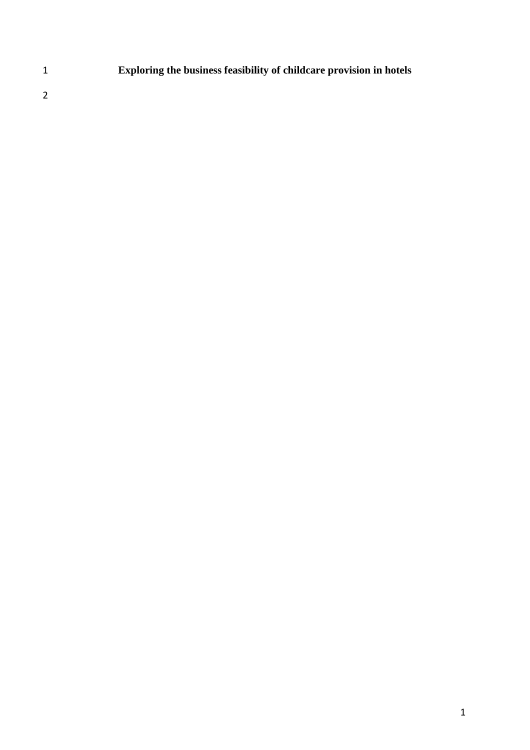**Exploring the business feasibility of childcare provision in hotels**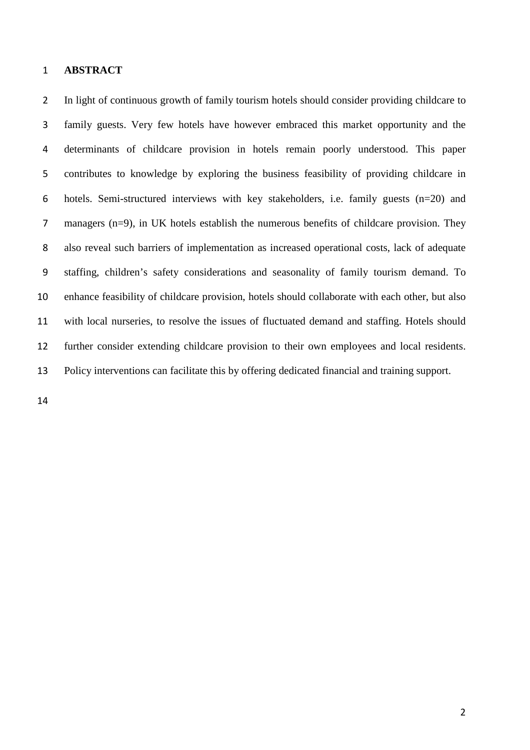#### **ABSTRACT**

2 In light of continuous growth of family tourism hotels should consider providing childcare to family guests. Very few hotels have however embraced this market opportunity and the determinants of childcare provision in hotels remain poorly understood. This paper contributes to knowledge by exploring the business feasibility of providing childcare in hotels. Semi-structured interviews with key stakeholders, i.e. family guests (n=20) and managers (n=9), in UK hotels establish the numerous benefits of childcare provision. They also reveal such barriers of implementation as increased operational costs, lack of adequate staffing, children's safety considerations and seasonality of family tourism demand. To enhance feasibility of childcare provision, hotels should collaborate with each other, but also with local nurseries, to resolve the issues of fluctuated demand and staffing. Hotels should further consider extending childcare provision to their own employees and local residents. Policy interventions can facilitate this by offering dedicated financial and training support.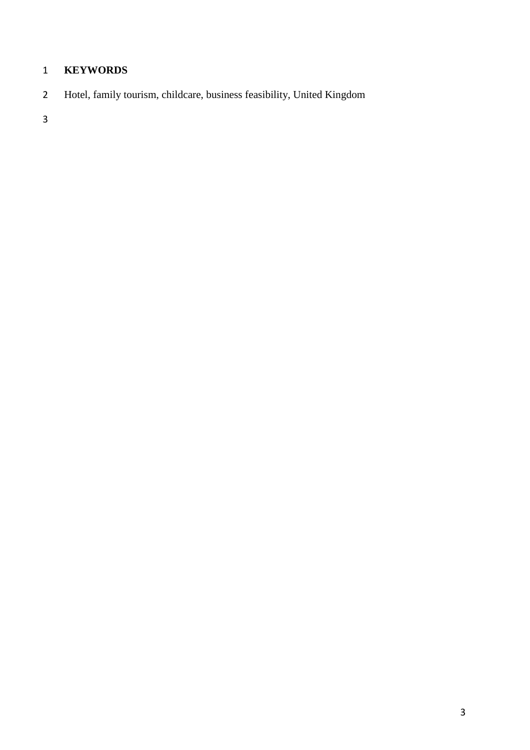# **KEYWORDS**

Hotel, family tourism, childcare, business feasibility, United Kingdom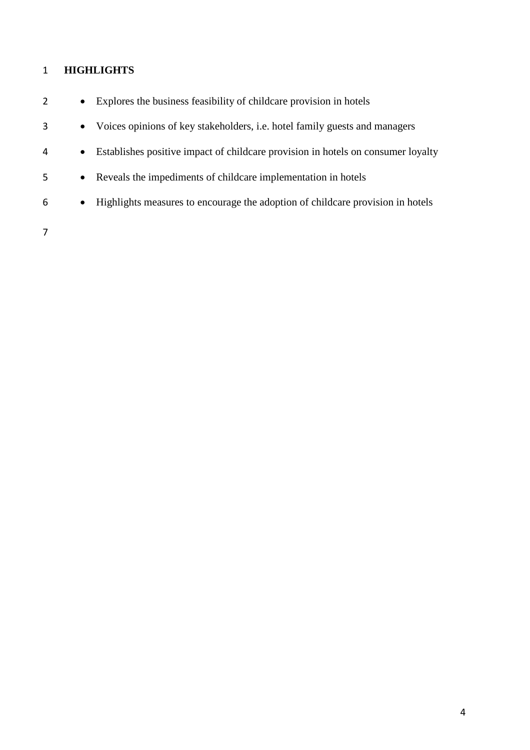# **HIGHLIGHTS**

|   | $\bullet$ | Explores the business feasibility of childcare provision in hotels                |
|---|-----------|-----------------------------------------------------------------------------------|
| 3 | $\bullet$ | Voices opinions of key stakeholders, <i>i.e.</i> hotel family guests and managers |
| 4 | $\bullet$ | Establishes positive impact of childcare provision in hotels on consumer loyalty  |
| 5 | $\bullet$ | Reveals the impediments of childcare implementation in hotels                     |
| 6 | $\bullet$ | Highlights measures to encourage the adoption of childcare provision in hotels    |
|   |           |                                                                                   |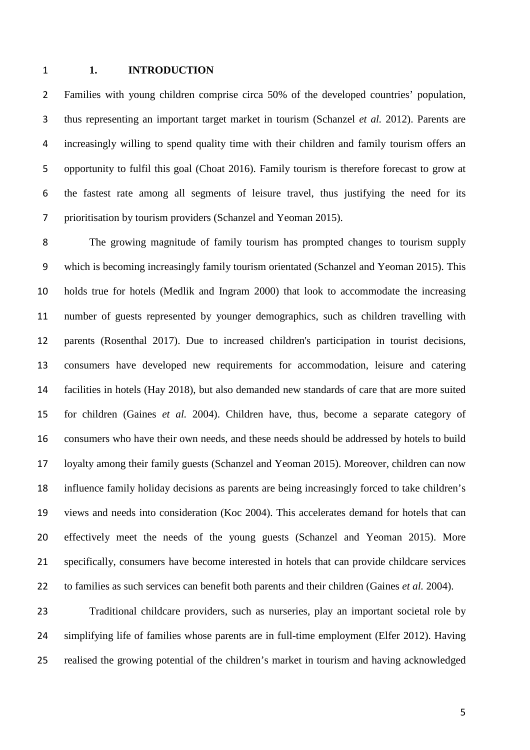#### **1. INTRODUCTION**

 Families with young children comprise circa 50% of the developed countries' population, thus representing an important target market in tourism (Schanzel *et al.* 2012). Parents are increasingly willing to spend quality time with their children and family tourism offers an opportunity to fulfil this goal (Choat 2016). Family tourism is therefore forecast to grow at the fastest rate among all segments of leisure travel, thus justifying the need for its prioritisation by tourism providers (Schanzel and Yeoman 2015).

 The growing magnitude of family tourism has prompted changes to tourism supply which is becoming increasingly family tourism orientated (Schanzel and Yeoman 2015). This holds true for hotels (Medlik and Ingram 2000) that look to accommodate the increasing number of guests represented by younger demographics, such as children travelling with parents (Rosenthal 2017). Due to increased children's participation in tourist decisions, consumers have developed new requirements for accommodation, leisure and catering facilities in hotels (Hay 2018), but also demanded new standards of care that are more suited for children (Gaines *et al.* 2004). Children have, thus, become a separate category of consumers who have their own needs, and these needs should be addressed by hotels to build loyalty among their family guests (Schanzel and Yeoman 2015). Moreover, children can now influence family holiday decisions as parents are being increasingly forced to take children's views and needs into consideration (Koc 2004). This accelerates demand for hotels that can effectively meet the needs of the young guests (Schanzel and Yeoman 2015). More specifically, consumers have become interested in hotels that can provide childcare services to families as such services can benefit both parents and their children (Gaines *et al.* 2004).

 Traditional childcare providers, such as nurseries, play an important societal role by simplifying life of families whose parents are in full-time employment (Elfer 2012). Having realised the growing potential of the children's market in tourism and having acknowledged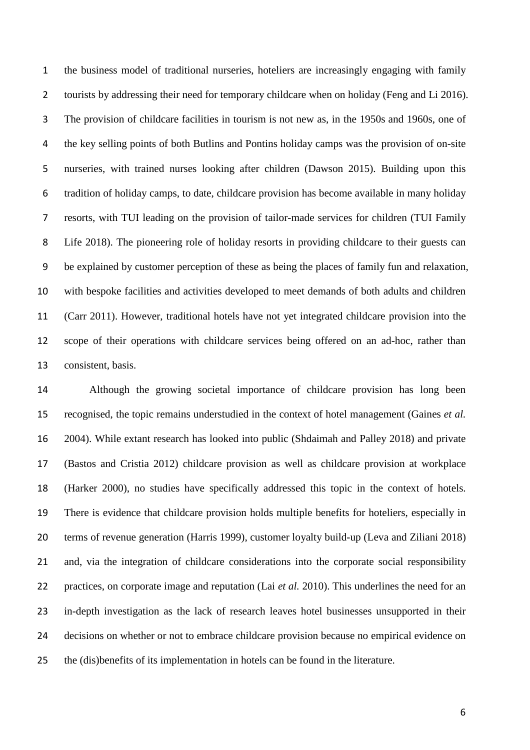the business model of traditional nurseries, hoteliers are increasingly engaging with family 2 tourists by addressing their need for temporary childcare when on holiday (Feng and Li 2016). The provision of childcare facilities in tourism is not new as, in the 1950s and 1960s, one of the key selling points of both Butlins and Pontins holiday camps was the provision of on-site nurseries, with trained nurses looking after children (Dawson 2015). Building upon this tradition of holiday camps, to date, childcare provision has become available in many holiday resorts, with TUI leading on the provision of tailor-made services for children (TUI Family Life 2018). The pioneering role of holiday resorts in providing childcare to their guests can be explained by customer perception of these as being the places of family fun and relaxation, with bespoke facilities and activities developed to meet demands of both adults and children (Carr 2011). However, traditional hotels have not yet integrated childcare provision into the scope of their operations with childcare services being offered on an ad-hoc, rather than consistent, basis.

 Although the growing societal importance of childcare provision has long been recognised, the topic remains understudied in the context of hotel management (Gaines *et al.* 2004). While extant research has looked into public (Shdaimah and Palley 2018) and private (Bastos and Cristia 2012) childcare provision as well as childcare provision at workplace (Harker 2000), no studies have specifically addressed this topic in the context of hotels. There is evidence that childcare provision holds multiple benefits for hoteliers, especially in terms of revenue generation (Harris 1999), customer loyalty build-up (Leva and Ziliani 2018) and, via the integration of childcare considerations into the corporate social responsibility practices, on corporate image and reputation (Lai *et al.* 2010). This underlines the need for an in-depth investigation as the lack of research leaves hotel businesses unsupported in their decisions on whether or not to embrace childcare provision because no empirical evidence on the (dis)benefits of its implementation in hotels can be found in the literature.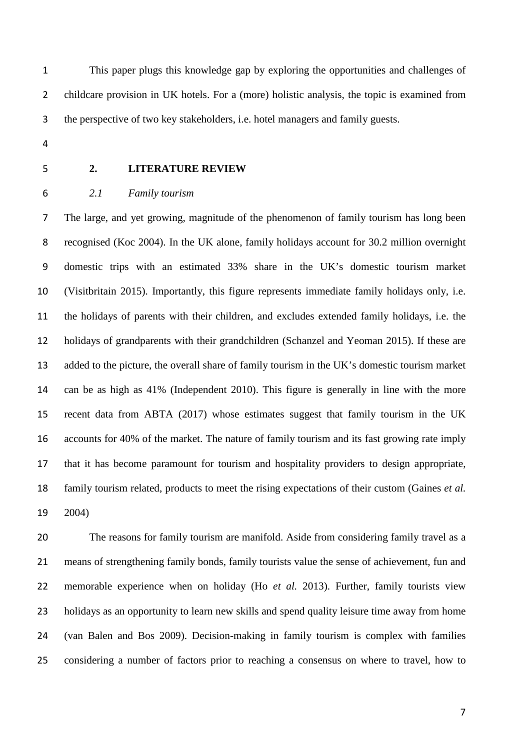This paper plugs this knowledge gap by exploring the opportunities and challenges of childcare provision in UK hotels. For a (more) holistic analysis, the topic is examined from the perspective of two key stakeholders, i.e. hotel managers and family guests.

- 
- 

### **2. LITERATURE REVIEW**

## *2.1 Family tourism*

 The large, and yet growing, magnitude of the phenomenon of family tourism has long been recognised (Koc 2004). In the UK alone, family holidays account for 30.2 million overnight domestic trips with an estimated 33% share in the UK's domestic tourism market (Visitbritain 2015). Importantly, this figure represents immediate family holidays only, i.e. the holidays of parents with their children, and excludes extended family holidays, i.e. the holidays of grandparents with their grandchildren (Schanzel and Yeoman 2015). If these are added to the picture, the overall share of family tourism in the UK's domestic tourism market can be as high as 41% (Independent 2010). This figure is generally in line with the more recent data from ABTA (2017) whose estimates suggest that family tourism in the UK accounts for 40% of the market. The nature of family tourism and its fast growing rate imply that it has become paramount for tourism and hospitality providers to design appropriate, family tourism related, products to meet the rising expectations of their custom (Gaines *et al.* 2004)

 The reasons for family tourism are manifold. Aside from considering family travel as a means of strengthening family bonds, family tourists value the sense of achievement, fun and memorable experience when on holiday (Ho *et al.* 2013). Further, family tourists view holidays as an opportunity to learn new skills and spend quality leisure time away from home (van Balen and Bos 2009). Decision-making in family tourism is complex with families considering a number of factors prior to reaching a consensus on where to travel, how to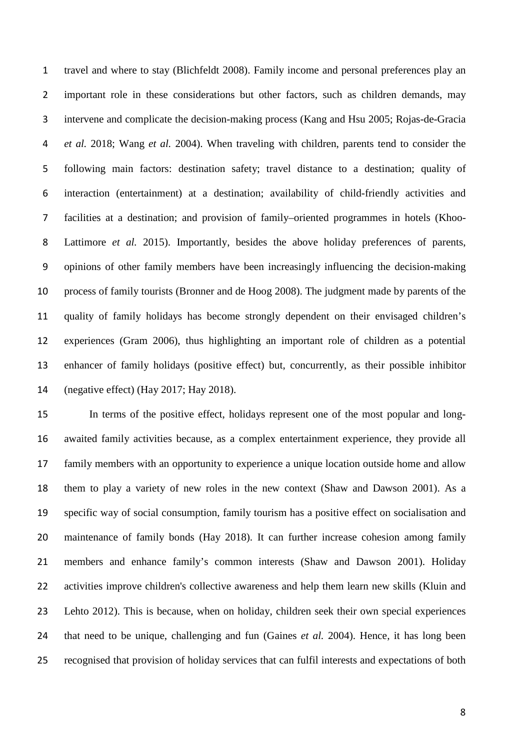travel and where to stay (Blichfeldt 2008). Family income and personal preferences play an important role in these considerations but other factors, such as children demands, may intervene and complicate the decision-making process (Kang and Hsu 2005; Rojas-de-Gracia *et al.* 2018; Wang *et al.* 2004). When traveling with children, parents tend to consider the following main factors: destination safety; travel distance to a destination; quality of interaction (entertainment) at a destination; availability of child-friendly activities and facilities at a destination; and provision of family–oriented programmes in hotels (Khoo- Lattimore *et al.* 2015). Importantly, besides the above holiday preferences of parents, opinions of other family members have been increasingly influencing the decision-making process of family tourists (Bronner and de Hoog 2008). The judgment made by parents of the quality of family holidays has become strongly dependent on their envisaged children's experiences (Gram 2006), thus highlighting an important role of children as a potential enhancer of family holidays (positive effect) but, concurrently, as their possible inhibitor (negative effect) (Hay 2017; Hay 2018).

 In terms of the positive effect, holidays represent one of the most popular and long- awaited family activities because, as a complex entertainment experience, they provide all family members with an opportunity to experience a unique location outside home and allow them to play a variety of new roles in the new context (Shaw and Dawson 2001). As a specific way of social consumption, family tourism has a positive effect on socialisation and maintenance of family bonds (Hay 2018). It can further increase cohesion among family members and enhance family's common interests (Shaw and Dawson 2001). Holiday activities improve children's collective awareness and help them learn new skills (Kluin and Lehto 2012). This is because, when on holiday, children seek their own special experiences that need to be unique, challenging and fun (Gaines *et al.* 2004). Hence, it has long been recognised that provision of holiday services that can fulfil interests and expectations of both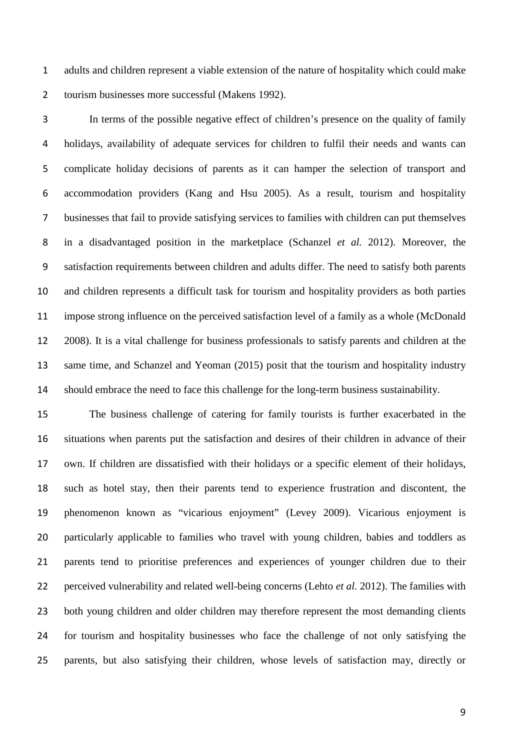adults and children represent a viable extension of the nature of hospitality which could make tourism businesses more successful (Makens 1992).

 In terms of the possible negative effect of children's presence on the quality of family holidays, availability of adequate services for children to fulfil their needs and wants can complicate holiday decisions of parents as it can hamper the selection of transport and accommodation providers (Kang and Hsu 2005). As a result, tourism and hospitality businesses that fail to provide satisfying services to families with children can put themselves in a disadvantaged position in the marketplace (Schanzel *et al.* 2012). Moreover, the satisfaction requirements between children and adults differ. The need to satisfy both parents and children represents a difficult task for tourism and hospitality providers as both parties impose strong influence on the perceived satisfaction level of a family as a whole (McDonald 2008). It is a vital challenge for business professionals to satisfy parents and children at the same time, and Schanzel and Yeoman (2015) posit that the tourism and hospitality industry should embrace the need to face this challenge for the long-term business sustainability.

 The business challenge of catering for family tourists is further exacerbated in the situations when parents put the satisfaction and desires of their children in advance of their own. If children are dissatisfied with their holidays or a specific element of their holidays, such as hotel stay, then their parents tend to experience frustration and discontent, the phenomenon known as "vicarious enjoyment" (Levey 2009). Vicarious enjoyment is particularly applicable to families who travel with young children, babies and toddlers as parents tend to prioritise preferences and experiences of younger children due to their perceived vulnerability and related well-being concerns (Lehto *et al.* 2012). The families with both young children and older children may therefore represent the most demanding clients for tourism and hospitality businesses who face the challenge of not only satisfying the parents, but also satisfying their children, whose levels of satisfaction may, directly or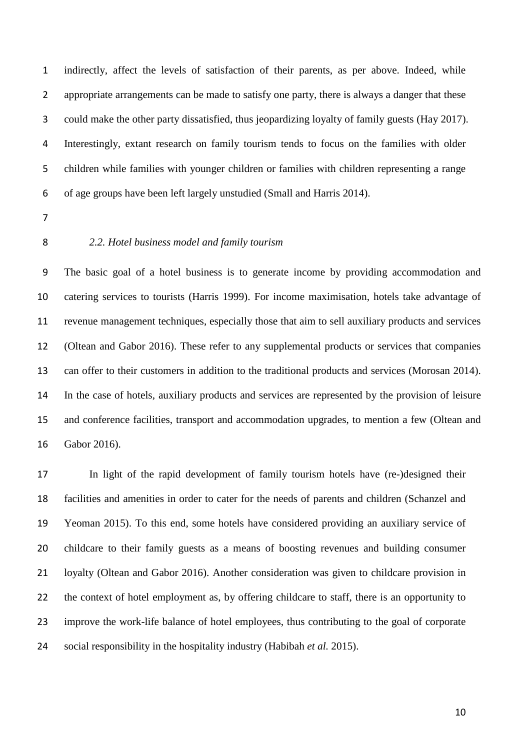indirectly, affect the levels of satisfaction of their parents, as per above. Indeed, while appropriate arrangements can be made to satisfy one party, there is always a danger that these could make the other party dissatisfied, thus jeopardizing loyalty of family guests (Hay 2017). Interestingly, extant research on family tourism tends to focus on the families with older children while families with younger children or families with children representing a range of age groups have been left largely unstudied (Small and Harris 2014).

- 
- 

#### *2.2. Hotel business model and family tourism*

 The basic goal of a hotel business is to generate income by providing accommodation and catering services to tourists (Harris 1999). For income maximisation, hotels take advantage of revenue management techniques, especially those that aim to sell auxiliary products and services (Oltean and Gabor 2016). These refer to any supplemental products or services that companies can offer to their customers in addition to the traditional products and services (Morosan 2014). In the case of hotels, auxiliary products and services are represented by the provision of leisure and conference facilities, transport and accommodation upgrades, to mention a few (Oltean and Gabor 2016).

 In light of the rapid development of family tourism hotels have (re-)designed their facilities and amenities in order to cater for the needs of parents and children (Schanzel and Yeoman 2015). To this end, some hotels have considered providing an auxiliary service of childcare to their family guests as a means of boosting revenues and building consumer loyalty (Oltean and Gabor 2016). Another consideration was given to childcare provision in the context of hotel employment as, by offering childcare to staff, there is an opportunity to improve the work-life balance of hotel employees, thus contributing to the goal of corporate social responsibility in the hospitality industry (Habibah *et al.* 2015).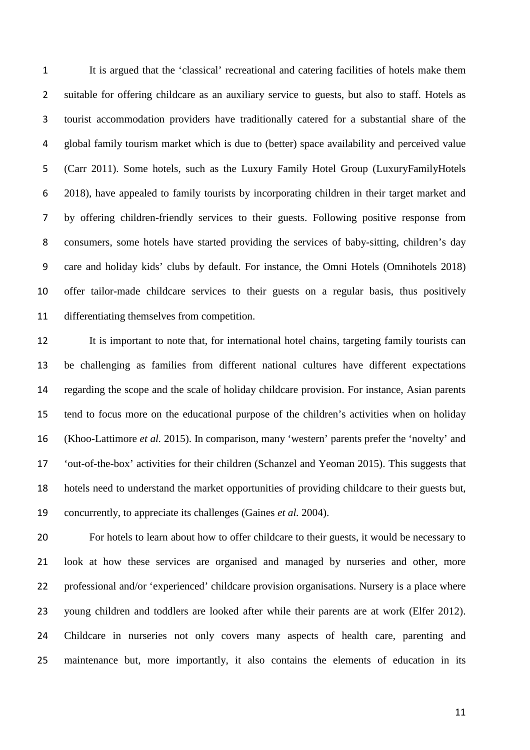It is argued that the 'classical' recreational and catering facilities of hotels make them suitable for offering childcare as an auxiliary service to guests, but also to staff. Hotels as tourist accommodation providers have traditionally catered for a substantial share of the global family tourism market which is due to (better) space availability and perceived value (Carr 2011). Some hotels, such as the Luxury Family Hotel Group (LuxuryFamilyHotels 2018), have appealed to family tourists by incorporating children in their target market and by offering children-friendly services to their guests. Following positive response from consumers, some hotels have started providing the services of baby-sitting, children's day care and holiday kids' clubs by default. For instance, the Omni Hotels (Omnihotels 2018) offer tailor-made childcare services to their guests on a regular basis, thus positively differentiating themselves from competition.

 It is important to note that, for international hotel chains, targeting family tourists can be challenging as families from different national cultures have different expectations regarding the scope and the scale of holiday childcare provision. For instance, Asian parents tend to focus more on the educational purpose of the children's activities when on holiday (Khoo-Lattimore *et al.* 2015). In comparison, many 'western' parents prefer the 'novelty' and 'out-of-the-box' activities for their children (Schanzel and Yeoman 2015). This suggests that hotels need to understand the market opportunities of providing childcare to their guests but, concurrently, to appreciate its challenges (Gaines *et al.* 2004).

 For hotels to learn about how to offer childcare to their guests, it would be necessary to look at how these services are organised and managed by nurseries and other, more professional and/or 'experienced' childcare provision organisations. Nursery is a place where young children and toddlers are looked after while their parents are at work (Elfer 2012). Childcare in nurseries not only covers many aspects of health care, parenting and maintenance but, more importantly, it also contains the elements of education in its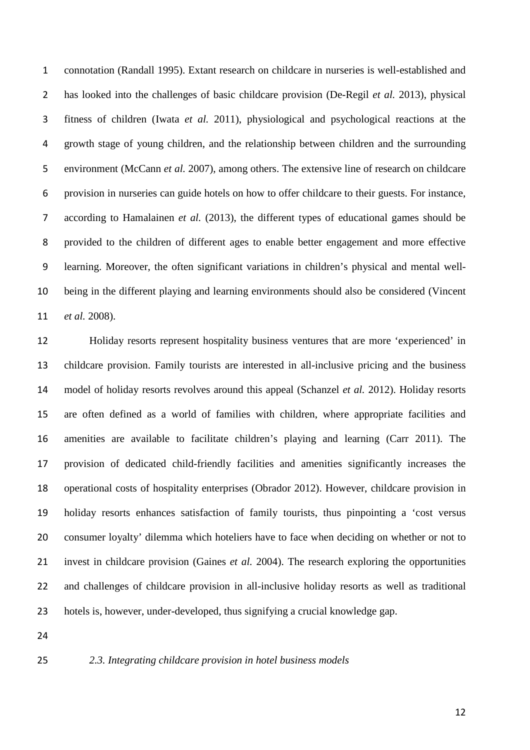connotation (Randall 1995). Extant research on childcare in nurseries is well-established and has looked into the challenges of basic childcare provision (De-Regil *et al.* 2013), physical fitness of children (Iwata *et al.* 2011), physiological and psychological reactions at the growth stage of young children, and the relationship between children and the surrounding environment (McCann *et al.* 2007), among others. The extensive line of research on childcare provision in nurseries can guide hotels on how to offer childcare to their guests. For instance, according to Hamalainen *et al.* (2013), the different types of educational games should be provided to the children of different ages to enable better engagement and more effective learning. Moreover, the often significant variations in children's physical and mental well- being in the different playing and learning environments should also be considered (Vincent *et al.* 2008).

 Holiday resorts represent hospitality business ventures that are more 'experienced' in childcare provision. Family tourists are interested in all-inclusive pricing and the business model of holiday resorts revolves around this appeal (Schanzel *et al.* 2012). Holiday resorts are often defined as a world of families with children, where appropriate facilities and amenities are available to facilitate children's playing and learning (Carr 2011). The provision of dedicated child-friendly facilities and amenities significantly increases the operational costs of hospitality enterprises (Obrador 2012). However, childcare provision in holiday resorts enhances satisfaction of family tourists, thus pinpointing a 'cost versus consumer loyalty' dilemma which hoteliers have to face when deciding on whether or not to invest in childcare provision (Gaines *et al.* 2004). The research exploring the opportunities and challenges of childcare provision in all-inclusive holiday resorts as well as traditional hotels is, however, under-developed, thus signifying a crucial knowledge gap.

*2.3. Integrating childcare provision in hotel business models*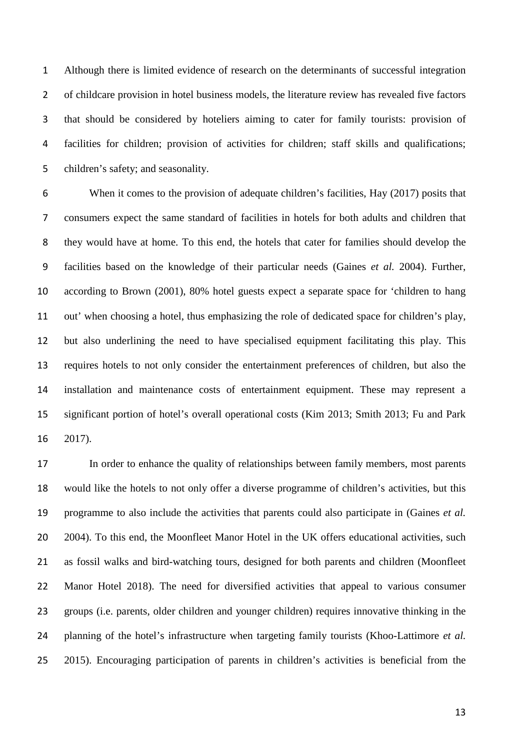Although there is limited evidence of research on the determinants of successful integration of childcare provision in hotel business models, the literature review has revealed five factors that should be considered by hoteliers aiming to cater for family tourists: provision of facilities for children; provision of activities for children; staff skills and qualifications; children's safety; and seasonality.

 When it comes to the provision of adequate children's facilities, Hay (2017) posits that consumers expect the same standard of facilities in hotels for both adults and children that they would have at home. To this end, the hotels that cater for families should develop the facilities based on the knowledge of their particular needs (Gaines *et al.* 2004). Further, according to Brown (2001), 80% hotel guests expect a separate space for 'children to hang out' when choosing a hotel, thus emphasizing the role of dedicated space for children's play, but also underlining the need to have specialised equipment facilitating this play. This requires hotels to not only consider the entertainment preferences of children, but also the installation and maintenance costs of entertainment equipment. These may represent a significant portion of hotel's overall operational costs (Kim 2013; Smith 2013; Fu and Park 2017).

 In order to enhance the quality of relationships between family members, most parents would like the hotels to not only offer a diverse programme of children's activities, but this programme to also include the activities that parents could also participate in (Gaines *et al.* 2004). To this end, the Moonfleet Manor Hotel in the UK offers educational activities, such as fossil walks and bird-watching tours, designed for both parents and children (Moonfleet Manor Hotel 2018). The need for diversified activities that appeal to various consumer groups (i.e. parents, older children and younger children) requires innovative thinking in the planning of the hotel's infrastructure when targeting family tourists (Khoo-Lattimore *et al.* 2015). Encouraging participation of parents in children's activities is beneficial from the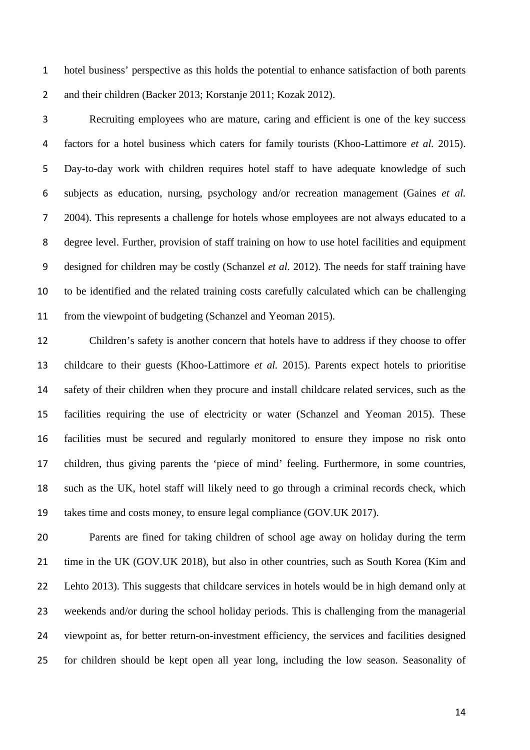hotel business' perspective as this holds the potential to enhance satisfaction of both parents and their children (Backer 2013; Korstanje 2011; Kozak 2012).

 Recruiting employees who are mature, caring and efficient is one of the key success factors for a hotel business which caters for family tourists (Khoo-Lattimore *et al.* 2015). Day-to-day work with children requires hotel staff to have adequate knowledge of such subjects as education, nursing, psychology and/or recreation management (Gaines *et al.* 2004). This represents a challenge for hotels whose employees are not always educated to a degree level. Further, provision of staff training on how to use hotel facilities and equipment designed for children may be costly (Schanzel *et al.* 2012). The needs for staff training have to be identified and the related training costs carefully calculated which can be challenging from the viewpoint of budgeting (Schanzel and Yeoman 2015).

 Children's safety is another concern that hotels have to address if they choose to offer childcare to their guests (Khoo-Lattimore *et al.* 2015). Parents expect hotels to prioritise safety of their children when they procure and install childcare related services, such as the facilities requiring the use of electricity or water (Schanzel and Yeoman 2015). These facilities must be secured and regularly monitored to ensure they impose no risk onto children, thus giving parents the 'piece of mind' feeling. Furthermore, in some countries, such as the UK, hotel staff will likely need to go through a criminal records check, which takes time and costs money, to ensure legal compliance (GOV.UK 2017).

 Parents are fined for taking children of school age away on holiday during the term time in the UK (GOV.UK 2018), but also in other countries, such as South Korea (Kim and Lehto 2013). This suggests that childcare services in hotels would be in high demand only at weekends and/or during the school holiday periods. This is challenging from the managerial viewpoint as, for better return-on-investment efficiency, the services and facilities designed for children should be kept open all year long, including the low season. Seasonality of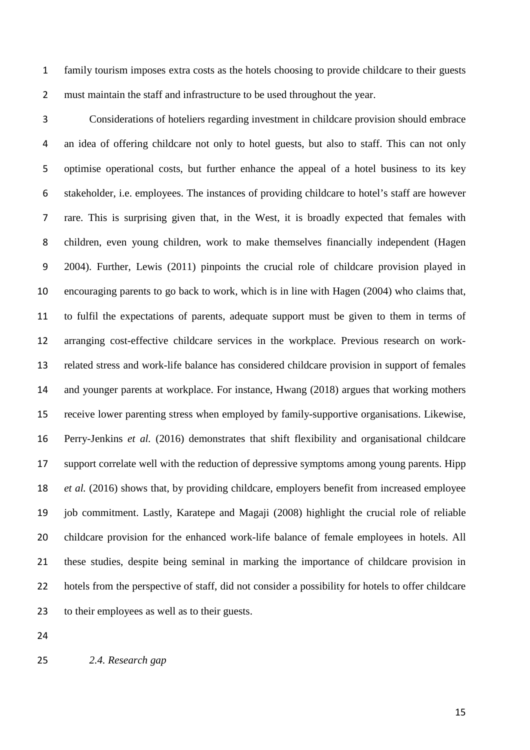family tourism imposes extra costs as the hotels choosing to provide childcare to their guests must maintain the staff and infrastructure to be used throughout the year.

 Considerations of hoteliers regarding investment in childcare provision should embrace an idea of offering childcare not only to hotel guests, but also to staff. This can not only optimise operational costs, but further enhance the appeal of a hotel business to its key stakeholder, i.e. employees. The instances of providing childcare to hotel's staff are however rare. This is surprising given that, in the West, it is broadly expected that females with children, even young children, work to make themselves financially independent (Hagen 2004). Further, Lewis (2011) pinpoints the crucial role of childcare provision played in encouraging parents to go back to work, which is in line with Hagen (2004) who claims that, to fulfil the expectations of parents, adequate support must be given to them in terms of arranging cost-effective childcare services in the workplace. Previous research on work- related stress and work-life balance has considered childcare provision in support of females and younger parents at workplace. For instance, Hwang (2018) argues that working mothers receive lower parenting stress when employed by family-supportive organisations. Likewise, Perry-Jenkins *et al.* (2016) demonstrates that shift flexibility and organisational childcare support correlate well with the reduction of depressive symptoms among young parents. Hipp *et al.* (2016) shows that, by providing childcare, employers benefit from increased employee job commitment. Lastly, Karatepe and Magaji (2008) highlight the crucial role of reliable childcare provision for the enhanced work-life balance of female employees in hotels. All these studies, despite being seminal in marking the importance of childcare provision in hotels from the perspective of staff, did not consider a possibility for hotels to offer childcare to their employees as well as to their guests.

*2.4. Research gap*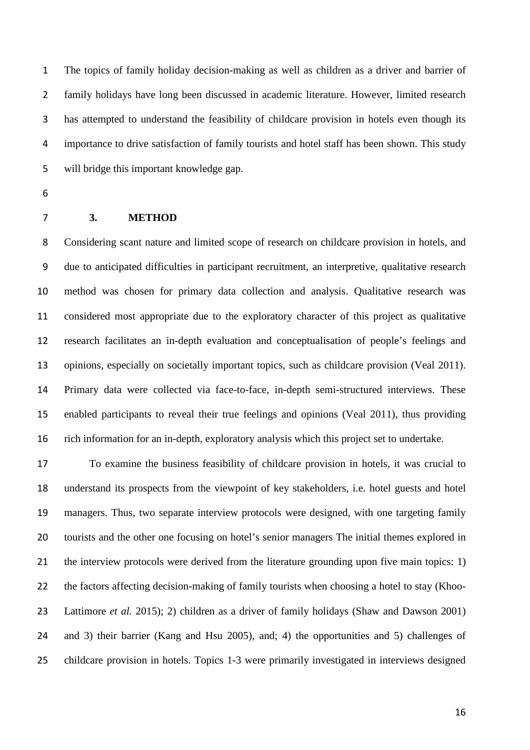The topics of family holiday decision-making as well as children as a driver and barrier of family holidays have long been discussed in academic literature. However, limited research has attempted to understand the feasibility of childcare provision in hotels even though its importance to drive satisfaction of family tourists and hotel staff has been shown. This study will bridge this important knowledge gap.

#### **3. METHOD**

 Considering scant nature and limited scope of research on childcare provision in hotels, and due to anticipated difficulties in participant recruitment, an interpretive, qualitative research method was chosen for primary data collection and analysis. Qualitative research was considered most appropriate due to the exploratory character of this project as qualitative research facilitates an in-depth evaluation and conceptualisation of people's feelings and opinions, especially on societally important topics, such as childcare provision (Veal 2011). Primary data were collected via face-to-face, in-depth semi-structured interviews. These enabled participants to reveal their true feelings and opinions (Veal 2011), thus providing rich information for an in-depth, exploratory analysis which this project set to undertake.

 To examine the business feasibility of childcare provision in hotels, it was crucial to understand its prospects from the viewpoint of key stakeholders, i.e. hotel guests and hotel managers. Thus, two separate interview protocols were designed, with one targeting family tourists and the other one focusing on hotel's senior managers The initial themes explored in 21 the interview protocols were derived from the literature grounding upon five main topics: 1) the factors affecting decision-making of family tourists when choosing a hotel to stay (Khoo- Lattimore *et al.* 2015); 2) children as a driver of family holidays (Shaw and Dawson 2001) and 3) their barrier (Kang and Hsu 2005), and; 4) the opportunities and 5) challenges of childcare provision in hotels. Topics 1-3 were primarily investigated in interviews designed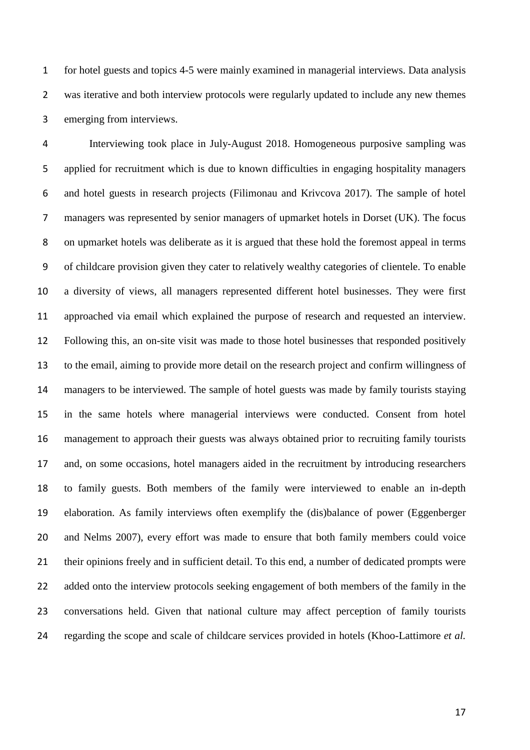for hotel guests and topics 4-5 were mainly examined in managerial interviews. Data analysis was iterative and both interview protocols were regularly updated to include any new themes emerging from interviews.

 Interviewing took place in July-August 2018. Homogeneous purposive sampling was applied for recruitment which is due to known difficulties in engaging hospitality managers and hotel guests in research projects (Filimonau and Krivcova 2017). The sample of hotel managers was represented by senior managers of upmarket hotels in Dorset (UK). The focus on upmarket hotels was deliberate as it is argued that these hold the foremost appeal in terms of childcare provision given they cater to relatively wealthy categories of clientele. To enable a diversity of views, all managers represented different hotel businesses. They were first approached via email which explained the purpose of research and requested an interview. Following this, an on-site visit was made to those hotel businesses that responded positively to the email, aiming to provide more detail on the research project and confirm willingness of managers to be interviewed. The sample of hotel guests was made by family tourists staying in the same hotels where managerial interviews were conducted. Consent from hotel management to approach their guests was always obtained prior to recruiting family tourists and, on some occasions, hotel managers aided in the recruitment by introducing researchers to family guests. Both members of the family were interviewed to enable an in-depth elaboration. As family interviews often exemplify the (dis)balance of power (Eggenberger and Nelms 2007), every effort was made to ensure that both family members could voice their opinions freely and in sufficient detail. To this end, a number of dedicated prompts were 22 added onto the interview protocols seeking engagement of both members of the family in the conversations held. Given that national culture may affect perception of family tourists regarding the scope and scale of childcare services provided in hotels (Khoo-Lattimore *et al.*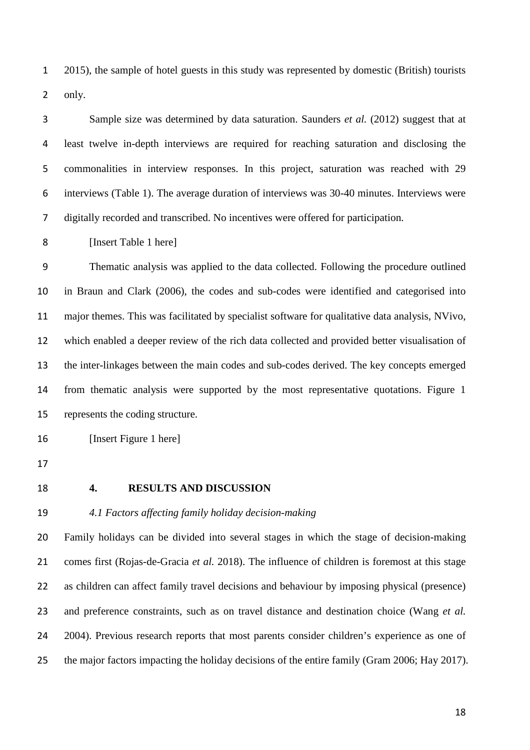2015), the sample of hotel guests in this study was represented by domestic (British) tourists only.

 Sample size was determined by data saturation. Saunders *et al.* (2012) suggest that at least twelve in-depth interviews are required for reaching saturation and disclosing the commonalities in interview responses. In this project, saturation was reached with 29 interviews (Table 1). The average duration of interviews was 30-40 minutes. Interviews were digitally recorded and transcribed. No incentives were offered for participation.

[Insert Table 1 here]

 Thematic analysis was applied to the data collected. Following the procedure outlined in Braun and Clark (2006), the codes and sub-codes were identified and categorised into major themes. This was facilitated by specialist software for qualitative data analysis, NVivo, which enabled a deeper review of the rich data collected and provided better visualisation of the inter-linkages between the main codes and sub-codes derived. The key concepts emerged from thematic analysis were supported by the most representative quotations. Figure 1 represents the coding structure.

16 [Insert Figure 1 here]

- 
- 

## **4. RESULTS AND DISCUSSION**

### *4.1 Factors affecting family holiday decision-making*

 Family holidays can be divided into several stages in which the stage of decision-making comes first (Rojas-de-Gracia *et al.* 2018). The influence of children is foremost at this stage as children can affect family travel decisions and behaviour by imposing physical (presence) and preference constraints, such as on travel distance and destination choice (Wang *et al.* 2004). Previous research reports that most parents consider children's experience as one of the major factors impacting the holiday decisions of the entire family (Gram 2006; Hay 2017).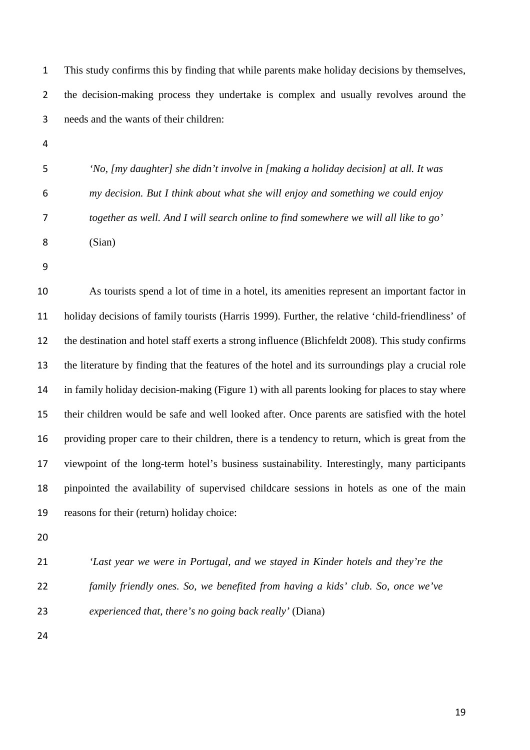This study confirms this by finding that while parents make holiday decisions by themselves, 2 the decision-making process they undertake is complex and usually revolves around the needs and the wants of their children:

 *'No, [my daughter] she didn't involve in [making a holiday decision] at all. It was my decision. But I think about what she will enjoy and something we could enjoy together as well. And I will search online to find somewhere we will all like to go'*  (Sian)

 As tourists spend a lot of time in a hotel, its amenities represent an important factor in holiday decisions of family tourists (Harris 1999). Further, the relative 'child-friendliness' of the destination and hotel staff exerts a strong influence (Blichfeldt 2008). This study confirms the literature by finding that the features of the hotel and its surroundings play a crucial role in family holiday decision-making (Figure 1) with all parents looking for places to stay where their children would be safe and well looked after. Once parents are satisfied with the hotel providing proper care to their children, there is a tendency to return, which is great from the viewpoint of the long-term hotel's business sustainability. Interestingly, many participants pinpointed the availability of supervised childcare sessions in hotels as one of the main reasons for their (return) holiday choice:

- 
- *'Last year we were in Portugal, and we stayed in Kinder hotels and they're the family friendly ones. So, we benefited from having a kids' club. So, once we've*

*experienced that, there's no going back really'* (Diana)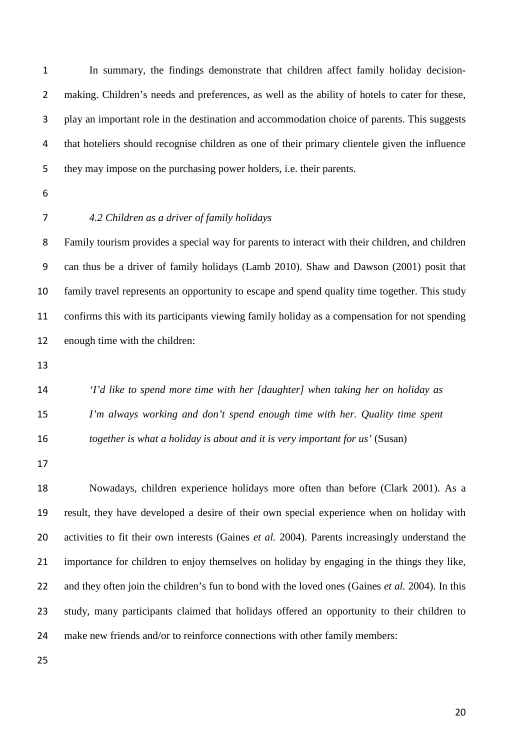In summary, the findings demonstrate that children affect family holiday decision- making. Children's needs and preferences, as well as the ability of hotels to cater for these, play an important role in the destination and accommodation choice of parents. This suggests that hoteliers should recognise children as one of their primary clientele given the influence they may impose on the purchasing power holders, i.e. their parents.

- 
- 

# *4.2 Children as a driver of family holidays*

 Family tourism provides a special way for parents to interact with their children, and children can thus be a driver of family holidays (Lamb 2010). Shaw and Dawson (2001) posit that family travel represents an opportunity to escape and spend quality time together. This study confirms this with its participants viewing family holiday as a compensation for not spending enough time with the children:

 *'I'd like to spend more time with her [daughter] when taking her on holiday as I'm always working and don't spend enough time with her. Quality time spent together is what a holiday is about and it is very important for us'* (Susan)

 Nowadays, children experience holidays more often than before (Clark 2001). As a result, they have developed a desire of their own special experience when on holiday with activities to fit their own interests (Gaines *et al.* 2004). Parents increasingly understand the importance for children to enjoy themselves on holiday by engaging in the things they like, and they often join the children's fun to bond with the loved ones (Gaines *et al.* 2004). In this study, many participants claimed that holidays offered an opportunity to their children to make new friends and/or to reinforce connections with other family members: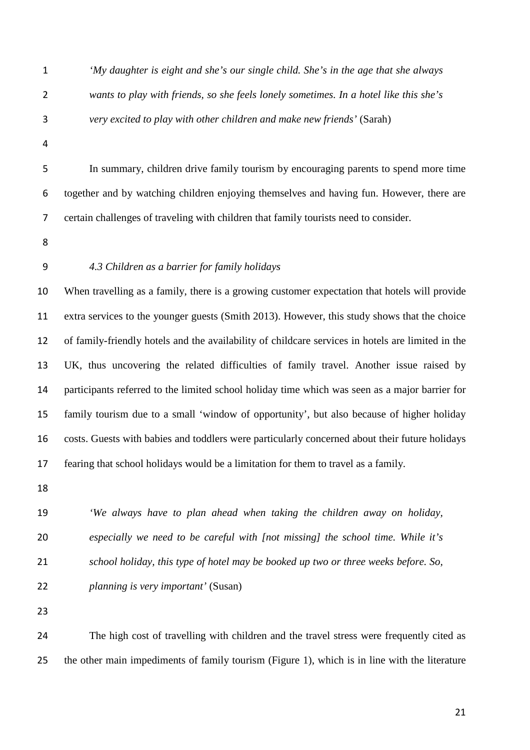- 
- 

 *'My daughter is eight and she's our single child. She's in the age that she always wants to play with friends, so she feels lonely sometimes. In a hotel like this she's very excited to play with other children and make new friends'* (Sarah)

 In summary, children drive family tourism by encouraging parents to spend more time together and by watching children enjoying themselves and having fun. However, there are certain challenges of traveling with children that family tourists need to consider.

- 
- 

# *4.3 Children as a barrier for family holidays*

 When travelling as a family, there is a growing customer expectation that hotels will provide extra services to the younger guests (Smith 2013). However, this study shows that the choice of family-friendly hotels and the availability of childcare services in hotels are limited in the UK, thus uncovering the related difficulties of family travel. Another issue raised by participants referred to the limited school holiday time which was seen as a major barrier for family tourism due to a small 'window of opportunity', but also because of higher holiday costs. Guests with babies and toddlers were particularly concerned about their future holidays fearing that school holidays would be a limitation for them to travel as a family.

 *'We always have to plan ahead when taking the children away on holiday, especially we need to be careful with [not missing] the school time. While it's school holiday, this type of hotel may be booked up two or three weeks before. So,*

*planning is very important'* (Susan)

 The high cost of travelling with children and the travel stress were frequently cited as the other main impediments of family tourism (Figure 1), which is in line with the literature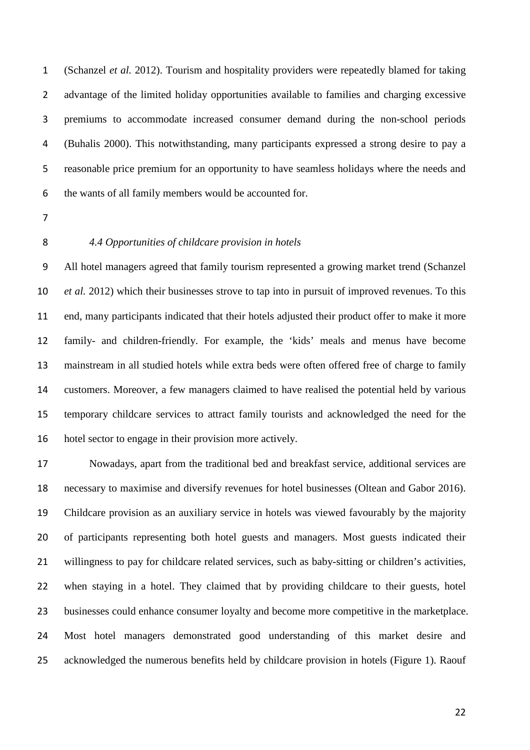(Schanzel *et al.* 2012). Tourism and hospitality providers were repeatedly blamed for taking advantage of the limited holiday opportunities available to families and charging excessive premiums to accommodate increased consumer demand during the non-school periods (Buhalis 2000). This notwithstanding, many participants expressed a strong desire to pay a reasonable price premium for an opportunity to have seamless holidays where the needs and the wants of all family members would be accounted for.

- 
- 

#### *4.4 Opportunities of childcare provision in hotels*

 All hotel managers agreed that family tourism represented a growing market trend (Schanzel *et al.* 2012) which their businesses strove to tap into in pursuit of improved revenues. To this end, many participants indicated that their hotels adjusted their product offer to make it more family- and children-friendly. For example, the 'kids' meals and menus have become mainstream in all studied hotels while extra beds were often offered free of charge to family customers. Moreover, a few managers claimed to have realised the potential held by various temporary childcare services to attract family tourists and acknowledged the need for the hotel sector to engage in their provision more actively.

 Nowadays, apart from the traditional bed and breakfast service, additional services are necessary to maximise and diversify revenues for hotel businesses (Oltean and Gabor 2016). Childcare provision as an auxiliary service in hotels was viewed favourably by the majority of participants representing both hotel guests and managers. Most guests indicated their willingness to pay for childcare related services, such as baby-sitting or children's activities, when staying in a hotel. They claimed that by providing childcare to their guests, hotel businesses could enhance consumer loyalty and become more competitive in the marketplace. Most hotel managers demonstrated good understanding of this market desire and acknowledged the numerous benefits held by childcare provision in hotels (Figure 1). Raouf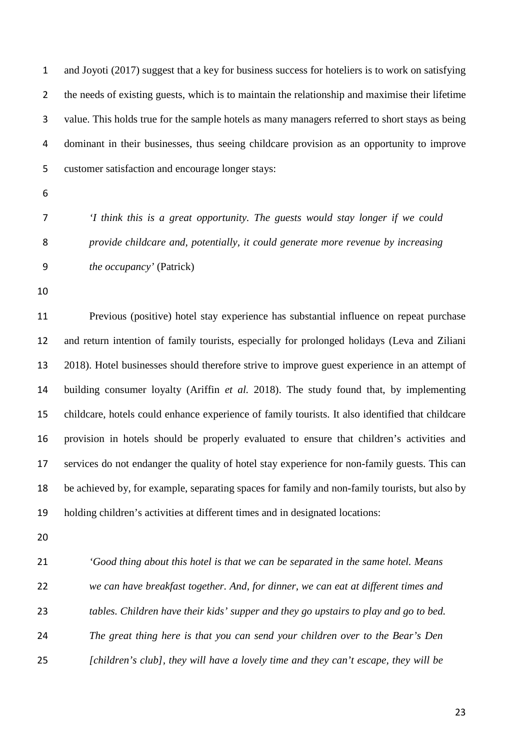and Joyoti (2017) suggest that a key for business success for hoteliers is to work on satisfying the needs of existing guests, which is to maintain the relationship and maximise their lifetime value. This holds true for the sample hotels as many managers referred to short stays as being dominant in their businesses, thus seeing childcare provision as an opportunity to improve customer satisfaction and encourage longer stays:

- 
- 

 *'I think this is a great opportunity. The guests would stay longer if we could provide childcare and, potentially, it could generate more revenue by increasing the occupancy'* (Patrick)

 Previous (positive) hotel stay experience has substantial influence on repeat purchase and return intention of family tourists, especially for prolonged holidays (Leva and Ziliani 2018). Hotel businesses should therefore strive to improve guest experience in an attempt of building consumer loyalty (Ariffin *et al.* 2018). The study found that, by implementing childcare, hotels could enhance experience of family tourists. It also identified that childcare provision in hotels should be properly evaluated to ensure that children's activities and services do not endanger the quality of hotel stay experience for non-family guests. This can be achieved by, for example, separating spaces for family and non-family tourists, but also by holding children's activities at different times and in designated locations:

 *'Good thing about this hotel is that we can be separated in the same hotel. Means we can have breakfast together. And, for dinner, we can eat at different times and tables. Children have their kids' supper and they go upstairs to play and go to bed. The great thing here is that you can send your children over to the Bear's Den [children's club], they will have a lovely time and they can't escape, they will be*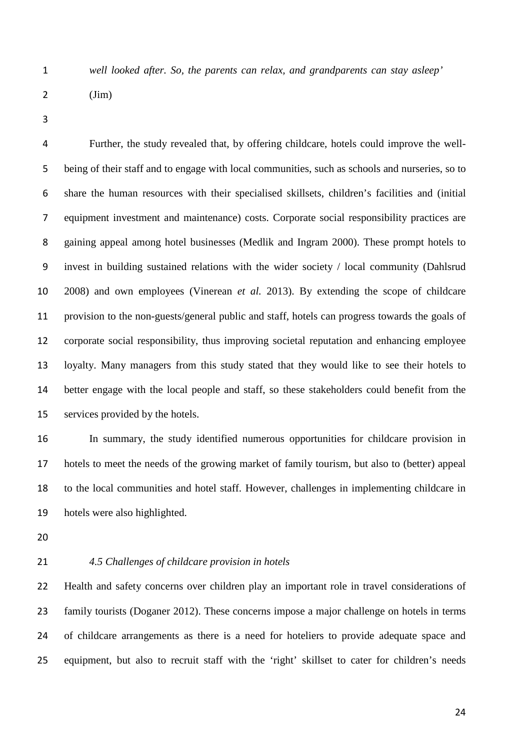*well looked after. So, the parents can relax, and grandparents can stay asleep'* 

| $(\text{Jim})$ |
|----------------|
|                |

 Further, the study revealed that, by offering childcare, hotels could improve the well- being of their staff and to engage with local communities, such as schools and nurseries, so to share the human resources with their specialised skillsets, children's facilities and (initial equipment investment and maintenance) costs. Corporate social responsibility practices are gaining appeal among hotel businesses (Medlik and Ingram 2000). These prompt hotels to invest in building sustained relations with the wider society / local community (Dahlsrud 2008) and own employees (Vinerean *et al.* 2013). By extending the scope of childcare provision to the non-guests/general public and staff, hotels can progress towards the goals of corporate social responsibility, thus improving societal reputation and enhancing employee loyalty. Many managers from this study stated that they would like to see their hotels to better engage with the local people and staff, so these stakeholders could benefit from the services provided by the hotels.

 In summary, the study identified numerous opportunities for childcare provision in hotels to meet the needs of the growing market of family tourism, but also to (better) appeal to the local communities and hotel staff. However, challenges in implementing childcare in hotels were also highlighted.

# *4.5 Challenges of childcare provision in hotels*

 Health and safety concerns over children play an important role in travel considerations of family tourists (Doganer 2012). These concerns impose a major challenge on hotels in terms of childcare arrangements as there is a need for hoteliers to provide adequate space and 25 equipment, but also to recruit staff with the 'right' skillset to cater for children's needs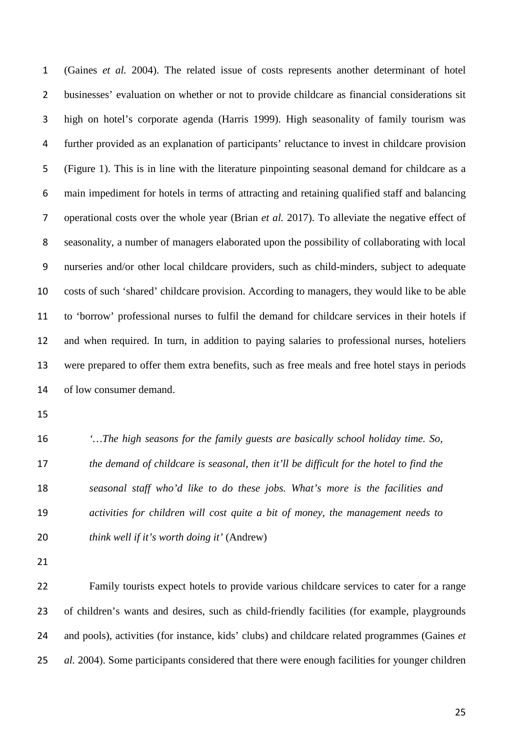(Gaines *et al.* 2004). The related issue of costs represents another determinant of hotel businesses' evaluation on whether or not to provide childcare as financial considerations sit high on hotel's corporate agenda (Harris 1999). High seasonality of family tourism was further provided as an explanation of participants' reluctance to invest in childcare provision (Figure 1). This is in line with the literature pinpointing seasonal demand for childcare as a main impediment for hotels in terms of attracting and retaining qualified staff and balancing operational costs over the whole year (Brian *et al.* 2017). To alleviate the negative effect of seasonality, a number of managers elaborated upon the possibility of collaborating with local nurseries and/or other local childcare providers, such as child-minders, subject to adequate costs of such 'shared' childcare provision. According to managers, they would like to be able to 'borrow' professional nurses to fulfil the demand for childcare services in their hotels if and when required. In turn, in addition to paying salaries to professional nurses, hoteliers were prepared to offer them extra benefits, such as free meals and free hotel stays in periods of low consumer demand.

 *'…The high seasons for the family guests are basically school holiday time. So, the demand of childcare is seasonal, then it'll be difficult for the hotel to find the seasonal staff who'd like to do these jobs. What's more is the facilities and activities for children will cost quite a bit of money, the management needs to think well if it's worth doing it'* (Andrew)

 Family tourists expect hotels to provide various childcare services to cater for a range of children's wants and desires, such as child-friendly facilities (for example, playgrounds and pools), activities (for instance, kids' clubs) and childcare related programmes (Gaines *et al.* 2004). Some participants considered that there were enough facilities for younger children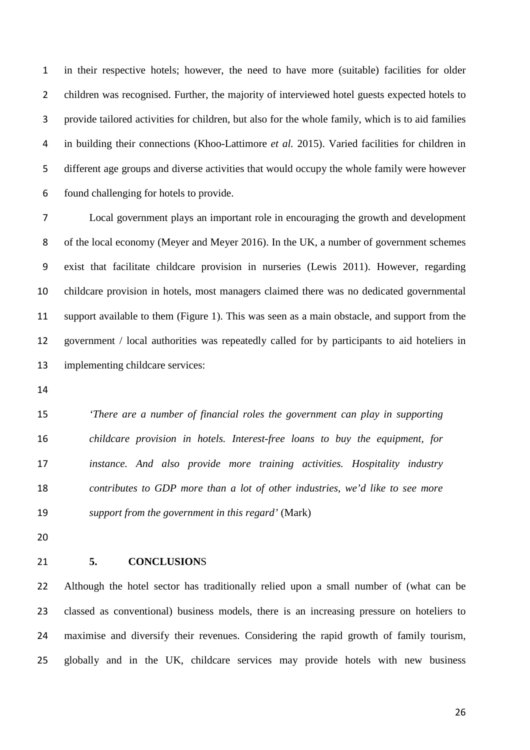in their respective hotels; however, the need to have more (suitable) facilities for older 2 children was recognised. Further, the majority of interviewed hotel guests expected hotels to provide tailored activities for children, but also for the whole family, which is to aid families in building their connections (Khoo-Lattimore *et al.* 2015). Varied facilities for children in different age groups and diverse activities that would occupy the whole family were however found challenging for hotels to provide.

 Local government plays an important role in encouraging the growth and development of the local economy (Meyer and Meyer 2016). In the UK, a number of government schemes exist that facilitate childcare provision in nurseries (Lewis 2011). However, regarding childcare provision in hotels, most managers claimed there was no dedicated governmental support available to them (Figure 1). This was seen as a main obstacle, and support from the government / local authorities was repeatedly called for by participants to aid hoteliers in implementing childcare services:

 *'There are a number of financial roles the government can play in supporting childcare provision in hotels. Interest-free loans to buy the equipment, for instance. And also provide more training activities. Hospitality industry contributes to GDP more than a lot of other industries, we'd like to see more support from the government in this regard'* (Mark)

#### **5. CONCLUSION**S

 Although the hotel sector has traditionally relied upon a small number of (what can be classed as conventional) business models, there is an increasing pressure on hoteliers to maximise and diversify their revenues. Considering the rapid growth of family tourism, globally and in the UK, childcare services may provide hotels with new business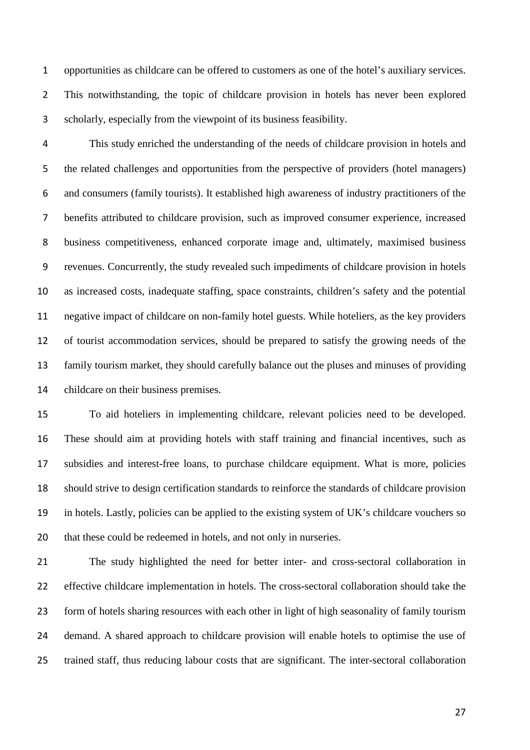opportunities as childcare can be offered to customers as one of the hotel's auxiliary services. This notwithstanding, the topic of childcare provision in hotels has never been explored scholarly, especially from the viewpoint of its business feasibility.

 This study enriched the understanding of the needs of childcare provision in hotels and the related challenges and opportunities from the perspective of providers (hotel managers) and consumers (family tourists). It established high awareness of industry practitioners of the benefits attributed to childcare provision, such as improved consumer experience, increased business competitiveness, enhanced corporate image and, ultimately, maximised business revenues. Concurrently, the study revealed such impediments of childcare provision in hotels as increased costs, inadequate staffing, space constraints, children's safety and the potential negative impact of childcare on non-family hotel guests. While hoteliers, as the key providers of tourist accommodation services, should be prepared to satisfy the growing needs of the family tourism market, they should carefully balance out the pluses and minuses of providing childcare on their business premises.

 To aid hoteliers in implementing childcare, relevant policies need to be developed. These should aim at providing hotels with staff training and financial incentives, such as subsidies and interest-free loans, to purchase childcare equipment. What is more, policies should strive to design certification standards to reinforce the standards of childcare provision in hotels. Lastly, policies can be applied to the existing system of UK's childcare vouchers so that these could be redeemed in hotels, and not only in nurseries.

 The study highlighted the need for better inter- and cross-sectoral collaboration in effective childcare implementation in hotels. The cross-sectoral collaboration should take the form of hotels sharing resources with each other in light of high seasonality of family tourism demand. A shared approach to childcare provision will enable hotels to optimise the use of trained staff, thus reducing labour costs that are significant. The inter-sectoral collaboration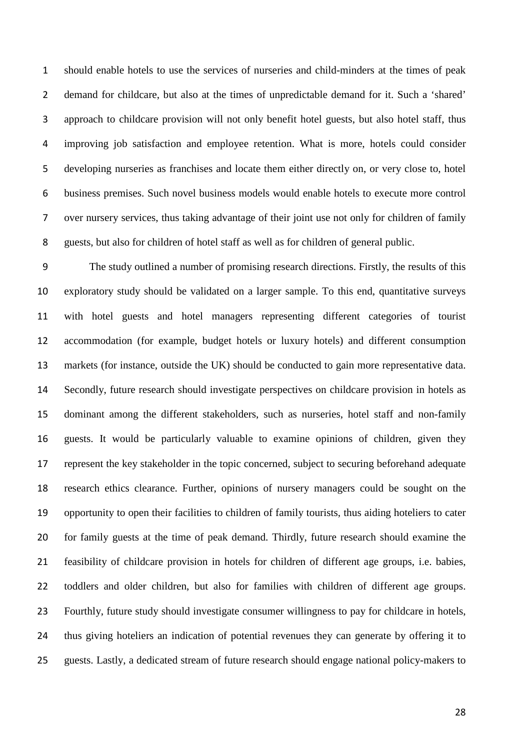should enable hotels to use the services of nurseries and child-minders at the times of peak demand for childcare, but also at the times of unpredictable demand for it. Such a 'shared' approach to childcare provision will not only benefit hotel guests, but also hotel staff, thus improving job satisfaction and employee retention. What is more, hotels could consider developing nurseries as franchises and locate them either directly on, or very close to, hotel business premises. Such novel business models would enable hotels to execute more control over nursery services, thus taking advantage of their joint use not only for children of family guests, but also for children of hotel staff as well as for children of general public.

 The study outlined a number of promising research directions. Firstly, the results of this exploratory study should be validated on a larger sample. To this end, quantitative surveys with hotel guests and hotel managers representing different categories of tourist accommodation (for example, budget hotels or luxury hotels) and different consumption markets (for instance, outside the UK) should be conducted to gain more representative data. Secondly, future research should investigate perspectives on childcare provision in hotels as dominant among the different stakeholders, such as nurseries, hotel staff and non-family guests. It would be particularly valuable to examine opinions of children, given they represent the key stakeholder in the topic concerned, subject to securing beforehand adequate research ethics clearance. Further, opinions of nursery managers could be sought on the opportunity to open their facilities to children of family tourists, thus aiding hoteliers to cater for family guests at the time of peak demand. Thirdly, future research should examine the feasibility of childcare provision in hotels for children of different age groups, i.e. babies, toddlers and older children, but also for families with children of different age groups. Fourthly, future study should investigate consumer willingness to pay for childcare in hotels, thus giving hoteliers an indication of potential revenues they can generate by offering it to guests. Lastly, a dedicated stream of future research should engage national policy-makers to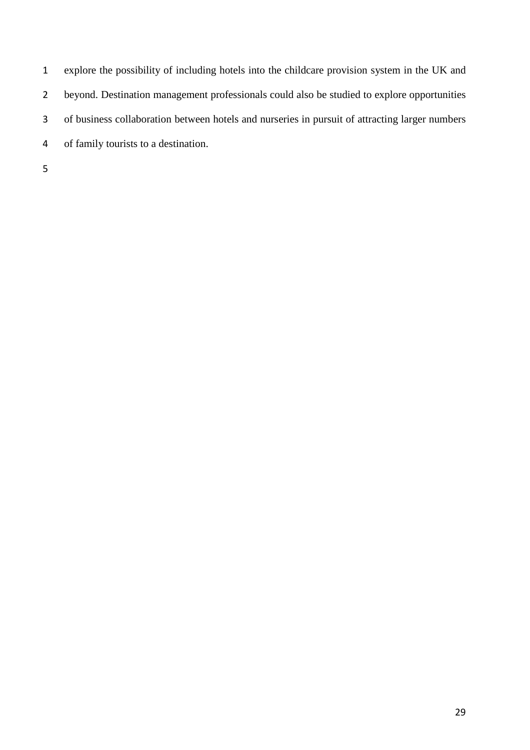explore the possibility of including hotels into the childcare provision system in the UK and beyond. Destination management professionals could also be studied to explore opportunities of business collaboration between hotels and nurseries in pursuit of attracting larger numbers of family tourists to a destination.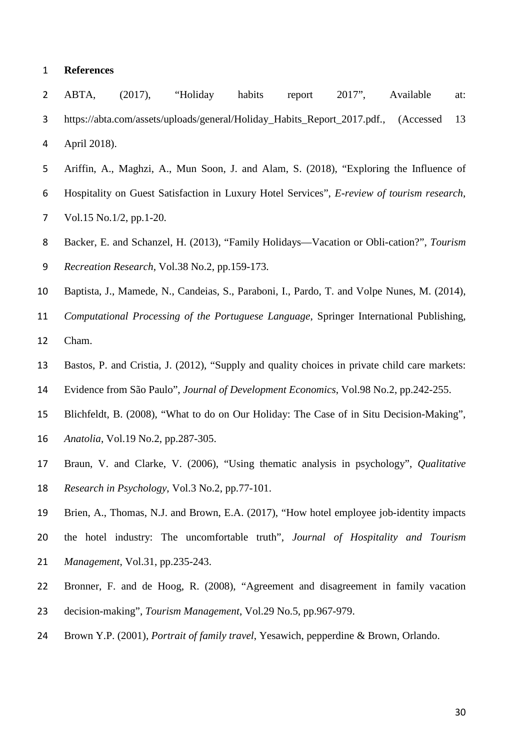#### **References**

- ABTA, (2017), "Holiday habits report 2017", Available at: https://abta.com/assets/uploads/general/Holiday\_Habits\_Report\_2017.pdf., (Accessed 13 April 2018).
- Ariffin, A., Maghzi, A., Mun Soon, J. and Alam, S. (2018), "Exploring the Influence of Hospitality on Guest Satisfaction in Luxury Hotel Services", *E-review of tourism research*, Vol.15 No.1/2, pp.1-20.
- Backer, E. and Schanzel, H. (2013), "Family Holidays—Vacation or Obli-cation?", *Tourism Recreation Research*, Vol.38 No.2, pp.159-173.
- Baptista, J., Mamede, N., Candeias, S., Paraboni, I., Pardo, T. and Volpe Nunes, M. (2014),
- *Computational Processing of the Portuguese Language*, Springer International Publishing,
- Cham.
- Bastos, P. and Cristia, J. (2012), "Supply and quality choices in private child care markets:
- Evidence from São Paulo", *Journal of Development Economics*, Vol.98 No.2, pp.242-255.
- Blichfeldt, B. (2008), "What to do on Our Holiday: The Case of in Situ Decision-Making",
- *Anatolia*, Vol.19 No.2, pp.287-305.
- Braun, V. and Clarke, V. (2006), "Using thematic analysis in psychology", *Qualitative Research in Psychology*, Vol.3 No.2, pp.77-101.
- Brien, A., Thomas, N.J. and Brown, E.A. (2017), "How hotel employee job-identity impacts
- the hotel industry: The uncomfortable truth", *Journal of Hospitality and Tourism Management*, Vol.31, pp.235-243.
- Bronner, F. and de Hoog, R. (2008), "Agreement and disagreement in family vacation decision-making", *Tourism Management*, Vol.29 No.5, pp.967-979.
- Brown Y.P. (2001), *Portrait of family travel*, Yesawich, pepperdine & Brown, Orlando.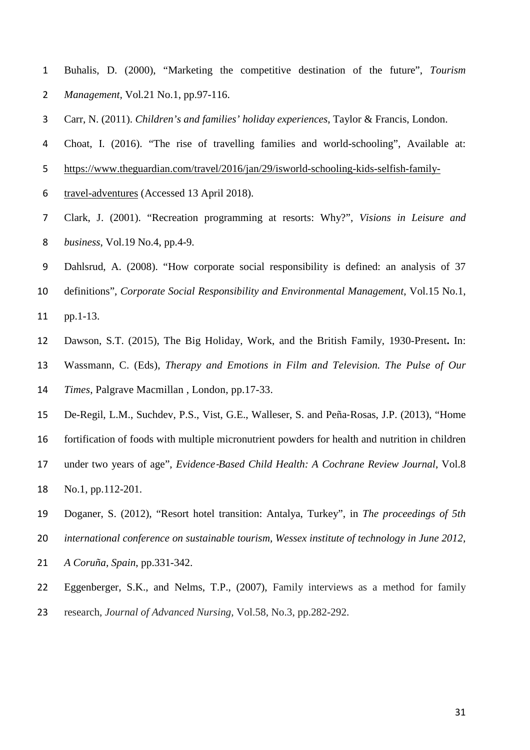- Buhalis, D. (2000), "Marketing the competitive destination of the future", *Tourism Management,* Vol*.*21 No.1, pp.97-116.
- Carr, N. (2011). *Children's and families' holiday experiences*, Taylor & Francis, London.
- Choat, I. (2016). "The rise of travelling families and world-schooling", Available at:
- [https://www.theguardian.com/travel/2016/jan/29/isworld-schooling-kids-selfish-family-](https://www.theguardian.com/travel/2016/jan/29/isworld-schooling-kids-selfish-family-travel-adventures)
- [travel-adventures](https://www.theguardian.com/travel/2016/jan/29/isworld-schooling-kids-selfish-family-travel-adventures) (Accessed 13 April 2018).
- Clark, J. (2001). "Recreation programming at resorts: Why?", *Visions in Leisure and business*, Vol.19 No.4, pp.4-9.
- Dahlsrud, A. (2008). "How corporate social responsibility is defined: an analysis of 37
- definitions", *Corporate Social Responsibility and Environmental Management*, Vol.15 No.1,
- pp.1-13.
- Dawson, S.T. (2015), The Big Holiday, Work, and the British Family, 1930-Present**.** In:
- Wassmann, C. (Eds), *Therapy and Emotions in Film and Television. The Pulse of Our*
- *Times*, Palgrave Macmillan , London, pp.17-33.
- De-Regil, L.M., Suchdev, P.S., Vist, G.E., Walleser, S. and Peña‐Rosas, J.P. (2013), "Home
- fortification of foods with multiple micronutrient powders for health and nutrition in children
- 17 under two years of age", *Evidence-Based Child Health: A Cochrane Review Journal*, Vol.8
- No.1, pp.112-201.
- Doganer, S. (2012), "Resort hotel transition: Antalya, Turkey", in *The proceedings of 5th*
- *international conference on sustainable tourism, Wessex institute of technology in June 2012,*
- *A Coruña, Spain*, pp.331-342.
- Eggenberger, S.K., and Nelms, T.P., (2007), Family interviews as a method for family
- research, *Journal of Advanced Nursing,* Vol.58, No.3, pp.282-292.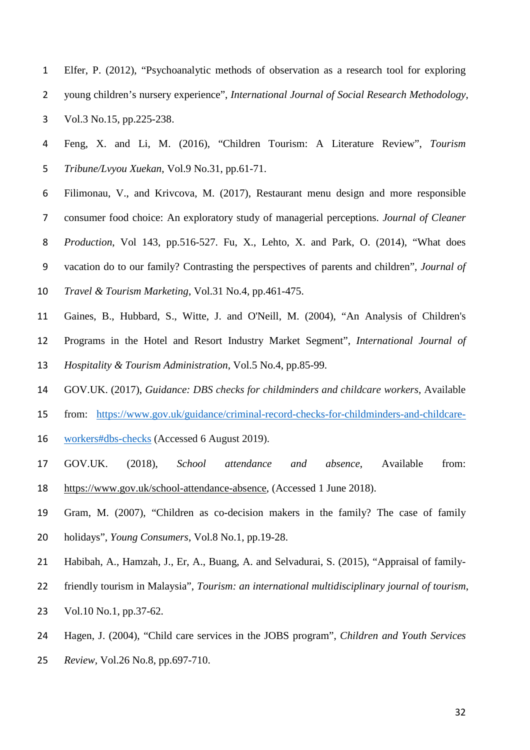- Elfer, P. (2012), "Psychoanalytic methods of observation as a research tool for exploring young children's nursery experience", *International Journal of Social Research Methodology*, Vol.3 No.15, pp.225-238.
- Feng, X. and Li, M. (2016), "Children Tourism: A Literature Review", *Tourism Tribune/Lvyou Xuekan*, Vol.9 No.31, pp.61-71.
- Filimonau, V., and Krivcova, M. (2017), Restaurant menu design and more responsible consumer food choice: An exploratory study of managerial perceptions. *Journal of Cleaner Production*, Vol 143, pp.516-527. Fu, X., Lehto, X. and Park, O. (2014), "What does vacation do to our family? Contrasting the perspectives of parents and children", *Journal of*
- *Travel & Tourism Marketing*, Vol.31 No.4, pp.461-475.
- Gaines, B., Hubbard, S., Witte, J. and O'Neill, M. (2004), "An Analysis of Children's
- Programs in the Hotel and Resort Industry Market Segment", *International Journal of*
- *Hospitality & Tourism Administration*, Vol.5 No.4, pp.85-99.
- GOV.UK. (2017), *Guidance: DBS checks for childminders and childcare workers*, Available
- from: [https://www.gov.uk/guidance/criminal-record-checks-for-childminders-and-childcare-](https://www.gov.uk/guidance/criminal-record-checks-for-childminders-and-childcare-workers#dbs-checks)
- [workers#dbs-checks](https://www.gov.uk/guidance/criminal-record-checks-for-childminders-and-childcare-workers#dbs-checks) (Accessed 6 August 2019).
- GOV.UK. (2018), *School attendance and absence*, Available from: [https://www.gov.uk/school-attendance-absence,](https://www.gov.uk/school-attendance-absence) (Accessed 1 June 2018).
- Gram, M. (2007), "Children as co-decision makers in the family? The case of family holidays", *Young Consumers*, Vol.8 No.1, pp.19-28.
- Habibah, A., Hamzah, J., Er, A., Buang, A. and Selvadurai, S. (2015), "Appraisal of family-
- friendly tourism in Malaysia", *Tourism: an international multidisciplinary journal of tourism*,
- Vol.10 No.1, pp.37-62.
- Hagen, J. (2004), "Child care services in the JOBS program", *Children and Youth Services*
- *Review,* Vol.26 No.8, pp.697-710.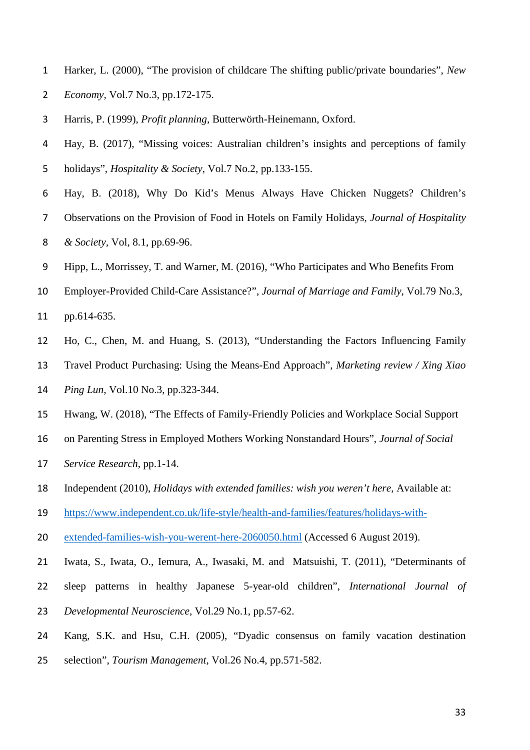- Harker, L. (2000), "The provision of childcare The shifting public/private boundaries", *New Economy*, Vol.7 No.3, pp.172-175.
- Harris, P. (1999), *Profit planning*, Butterwörth-Heinemann, Oxford.
- Hay, B. (2017), "Missing voices: Australian children's insights and perceptions of family holidays", *Hospitality & Society*, Vol.7 No.2, pp.133-155.
- Hay, B. (2018), Why Do Kid's Menus Always Have Chicken Nuggets? Children's Observations on the Provision of Food in Hotels on Family Holidays, *Journal of Hospitality & Society,* Vol, 8.1, pp*.*69-96.
- Hipp, L., Morrissey, T. and Warner, M. (2016), "Who Participates and Who Benefits From
- Employer-Provided Child-Care Assistance?", *Journal of Marriage and Family*, Vol.79 No.3,
- pp.614-635.
- Ho, C., Chen, M. and Huang, S. (2013), "Understanding the Factors Influencing Family
- Travel Product Purchasing: Using the Means-End Approach", *Marketing review / Xing Xiao*
- *Ping Lun*, Vol.10 No.3, pp.323-344.
- Hwang, W. (2018), "The Effects of Family-Friendly Policies and Workplace Social Support
- on Parenting Stress in Employed Mothers Working Nonstandard Hours", *Journal of Social*
- *Service Research*, pp.1-14.
- Independent (2010), *Holidays with extended families: wish you weren't here,* Available at:
- [https://www.independent.co.uk/life-style/health-and-families/features/holidays-with-](https://www.independent.co.uk/life-style/health-and-families/features/holidays-with-extended-families-wish-you-werent-here-2060050.html)
- [extended-families-wish-you-werent-here-2060050.html](https://www.independent.co.uk/life-style/health-and-families/features/holidays-with-extended-families-wish-you-werent-here-2060050.html) (Accessed 6 August 2019).
- Iwata, S., Iwata, O., Iemura, A., Iwasaki, M. and Matsuishi, T. (2011), "Determinants of
- sleep patterns in healthy Japanese 5-year-old children", *International Journal of*
- *Developmental Neuroscience,* Vol.29 No.1, pp.57-62.
- Kang, S.K. and Hsu, C.H. (2005), "Dyadic consensus on family vacation destination
- selection", *Tourism Management*, Vol.26 No.4, pp.571-582.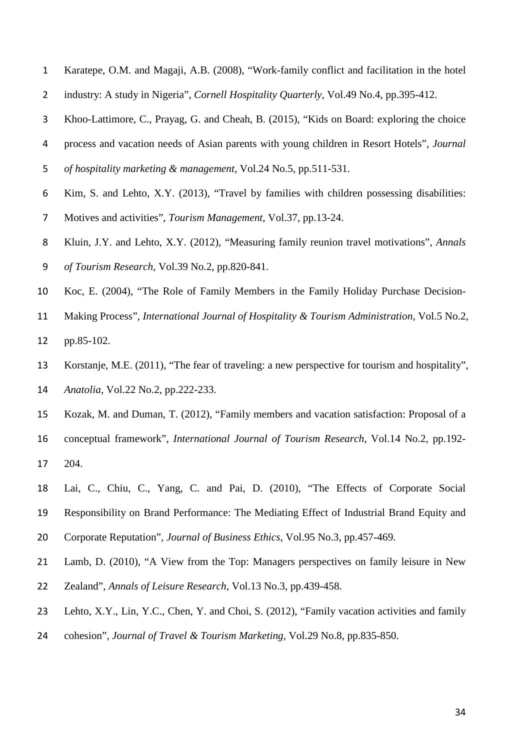- Karatepe, O.M. and Magaji, A.B. (2008), "Work-family conflict and facilitation in the hotel
- industry: A study in Nigeria", *Cornell Hospitality Quarterly,* Vol.49 No.4, pp.395-412.
- Khoo-Lattimore, C., Prayag, G. and Cheah, B. (2015), "Kids on Board: exploring the choice
- process and vacation needs of Asian parents with young children in Resort Hotels", *Journal*
- *of hospitality marketing & management*, Vol.24 No.5, pp.511-531.
- Kim, S. and Lehto, X.Y. (2013), "Travel by families with children possessing disabilities:
- Motives and activities", *Tourism Management*, Vol.37, pp.13-24.
- Kluin, J.Y. and Lehto, X.Y. (2012), "Measuring family reunion travel motivations", *Annals of Tourism Research*, Vol.39 No.2, pp.820-841.
- Koc, E. (2004), "The Role of Family Members in the Family Holiday Purchase Decision-
- Making Process", *International Journal of Hospitality & Tourism Administration*, Vol.5 No.2,
- pp.85-102.
- Korstanje, M.E. (2011), "The fear of traveling: a new perspective for tourism and hospitality", *Anatolia,* Vol.22 No.2, pp.222-233.
- Kozak, M. and Duman, T. (2012), "Family members and vacation satisfaction: Proposal of a conceptual framework", *International Journal of Tourism Research*, Vol.14 No.2, pp.192-
- 204.
- Lai, C., Chiu, C., Yang, C. and Pai, D. (2010), "The Effects of Corporate Social Responsibility on Brand Performance: The Mediating Effect of Industrial Brand Equity and
- Corporate Reputation", *Journal of Business Ethics*, Vol.95 No.3, pp.457-469.
- Lamb, D. (2010), "A View from the Top: Managers perspectives on family leisure in New
- Zealand", *Annals of Leisure Research,* Vol.13 No.3, pp.439-458.
- Lehto, X.Y., Lin, Y.C., Chen, Y. and Choi, S. (2012), "Family vacation activities and family
- cohesion", *Journal of Travel & Tourism Marketing*, Vol.29 No.8, pp.835-850.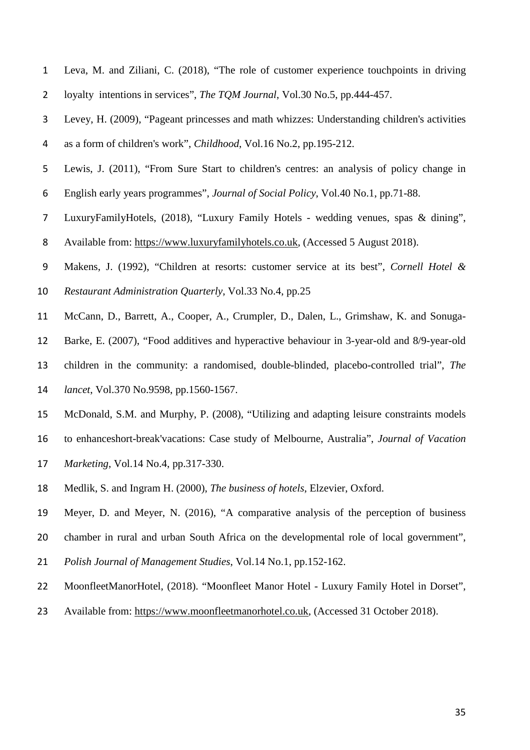- Leva, M. and Ziliani, C. (2018), "The role of customer experience touchpoints in driving
- loyalty intentions in services", *The TQM Journal*, Vol.30 No.5, pp.444-457.
- Levey, H. (2009), "Pageant princesses and math whizzes: Understanding children's activities as a form of children's work", *Childhood*, Vol.16 No.2, pp.195-212.
- Lewis, J. (2011), "From Sure Start to children's centres: an analysis of policy change in
- English early years programmes", *Journal of Social Policy*, Vol.40 No.1, pp.71-88.
- LuxuryFamilyHotels, (2018), "Luxury Family Hotels wedding venues, spas & dining", Available from: [https://www.luxuryfamilyhotels.co.uk,](https://www.luxuryfamilyhotels.co.uk/) (Accessed 5 August 2018).
- Makens, J. (1992), "Children at resorts: customer service at its best", *Cornell Hotel &*
- *Restaurant Administration Quarterly*, Vol.33 No.4, pp.25
- McCann, D., Barrett, A., Cooper, A., Crumpler, D., Dalen, L., Grimshaw, K. and Sonuga-
- Barke, E. (2007), "Food additives and hyperactive behaviour in 3-year-old and 8/9-year-old
- children in the community: a randomised, double-blinded, placebo-controlled trial", *The*
- *lancet*, Vol.370 No.9598, pp.1560-1567.
- McDonald, S.M. and Murphy, P. (2008), "Utilizing and adapting leisure constraints models
- to enhanceshort-break'vacations: Case study of Melbourne, Australia", *Journal of Vacation*
- *Marketing*, Vol.14 No.4, pp.317-330.
- Medlik, S. and Ingram H. (2000), *The business of hotels*, Elzevier, Oxford.
- Meyer, D. and Meyer, N. (2016), "A comparative analysis of the perception of business
- chamber in rural and urban South Africa on the developmental role of local government",
- *Polish Journal of Management Studies*, Vol.14 No.1, pp.152-162.
- MoonfleetManorHotel, (2018). "Moonfleet Manor Hotel Luxury Family Hotel in Dorset",
- Available from: [https://www.moonfleetmanorhotel.co.uk,](https://www.moonfleetmanorhotel.co.uk/) (Accessed 31 October 2018).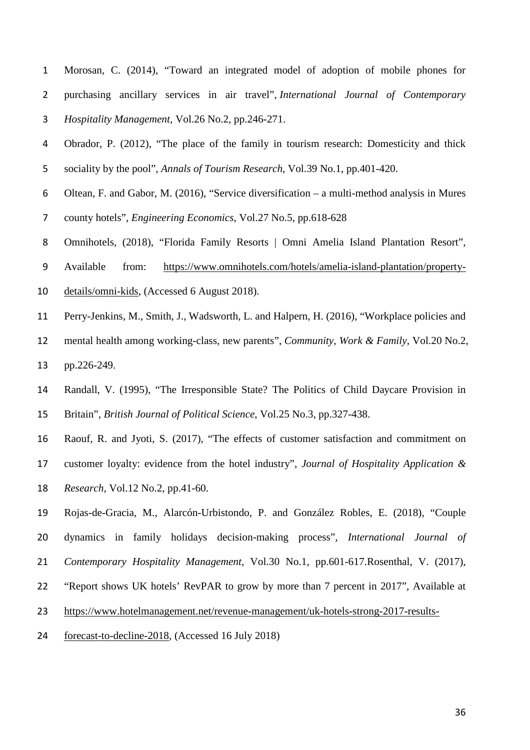- Morosan, C. (2014), "Toward an integrated model of adoption of mobile phones for purchasing ancillary services in air travel", *International Journal of Contemporary Hospitality Management*, Vol.26 No.2, pp.246-271.
- Obrador, P. (2012), "The place of the family in tourism research: Domesticity and thick sociality by the pool", *Annals of Tourism Research*, Vol.39 No.1, pp.401-420.
- Oltean, F. and Gabor, M. (2016), "Service diversification a multi-method analysis in Mures
- county hotels", *Engineering Economics*, Vol.27 No.5, pp.618-628
- Omnihotels, (2018), "Florida Family Resorts | Omni Amelia Island Plantation Resort",
- Available from: [https://www.omnihotels.com/hotels/amelia-island-plantation/property-](https://www.omnihotels.com/hotels/amelia-island-plantation/property-details/omni-kids)
- [details/omni-kids,](https://www.omnihotels.com/hotels/amelia-island-plantation/property-details/omni-kids) (Accessed 6 August 2018).
- Perry-Jenkins, M., Smith, J., Wadsworth, L. and Halpern, H. (2016), "Workplace policies and
- mental health among working-class, new parents", *Community, Work & Family*, Vol.20 No.2, pp.226-249.
- Randall, V. (1995), "The Irresponsible State? The Politics of Child Daycare Provision in Britain", *British Journal of Political Science*, Vol.25 No.3, pp.327-438.
- Raouf, R. and Jyoti, S. (2017), "The effects of customer satisfaction and commitment on customer loyalty: evidence from the hotel industry", *Journal of Hospitality Application & Research,* Vol.12 No.2, pp.41-60.
- Rojas-de-Gracia, M., Alarcón-Urbistondo, P. and González Robles, E. (2018), "Couple dynamics in family holidays decision-making process", *International Journal of Contemporary Hospitality Management*, Vol.30 No.1, pp.601-617.Rosenthal, V. (2017), "Report shows UK hotels' RevPAR to grow by more than 7 percent in 2017", Available at [https://www.hotelmanagement.net/revenue-management/uk-hotels-strong-2017-results-](https://www.hotelmanagement.net/revenue-management/uk-hotels-strong-2017-results-forecast-to-decline-2018)
- [forecast-to-decline-2018,](https://www.hotelmanagement.net/revenue-management/uk-hotels-strong-2017-results-forecast-to-decline-2018) (Accessed 16 July 2018)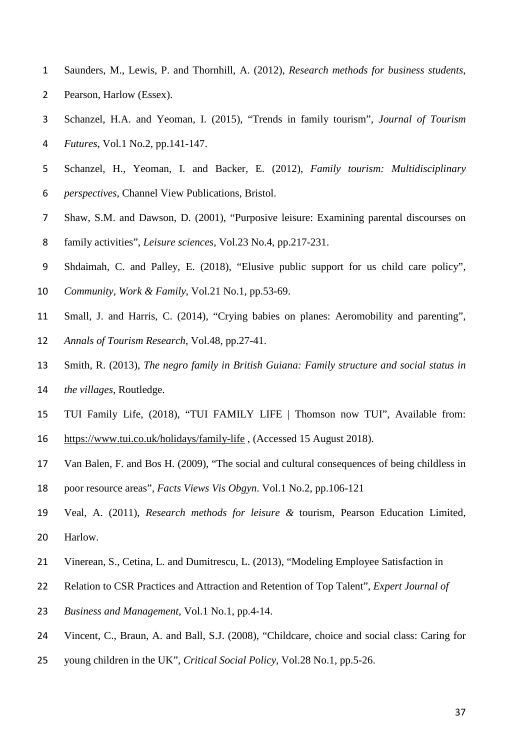- Saunders, M., Lewis, P. and Thornhill, A. (2012), *Research methods for business students*,
- Pearson, Harlow (Essex).
- Schanzel, H.A. and Yeoman, I. (2015), "Trends in family tourism", *Journal of Tourism*
- *Futures*, Vol.1 No.2, pp.141-147.
- Schanzel, H., Yeoman, I. and Backer, E. (2012), *Family tourism: Multidisciplinary perspectives*, Channel View Publications, Bristol.
- Shaw, S.M. and Dawson, D. (2001), "Purposive leisure: Examining parental discourses on
- family activities", *Leisure sciences*, Vol.23 No.4, pp.217-231.
- Shdaimah, C. and Palley, E. (2018), "Elusive public support for us child care policy",
- *Community, Work & Family*, Vol.21 No.1, pp.53-69.
- Small, J. and Harris, C. (2014), "Crying babies on planes: Aeromobility and parenting",
- *Annals of Tourism Research*, Vol.48, pp.27-41.
- Smith, R. (2013), *The negro family in British Guiana: Family structure and social status in the villages*, Routledge.
- TUI Family Life, (2018), "TUI FAMILY LIFE | Thomson now TUI", Available from:
- <https://www.tui.co.uk/holidays/family-life> , (Accessed 15 August 2018).
- Van Balen, F. and Bos H. (2009), "The social and cultural consequences of being childless in
- poor resource areas", *Facts Views Vis Obgyn*. Vol.1 No.2, pp.106-121
- Veal, A. (2011), *Research methods for leisure &* tourism, Pearson Education Limited, Harlow.
- Vinerean, S., Cetina, L. and Dumitrescu, L. (2013), "Modeling Employee Satisfaction in
- Relation to CSR Practices and Attraction and Retention of Top Talent", *Expert Journal of*
- *Business and Management*, Vol.1 No.1, pp.4-14.
- Vincent, C., Braun, A. and Ball, S.J. (2008), "Childcare, choice and social class: Caring for
- young children in the UK", *Critical Social Policy*, Vol.28 No.1, pp.5-26.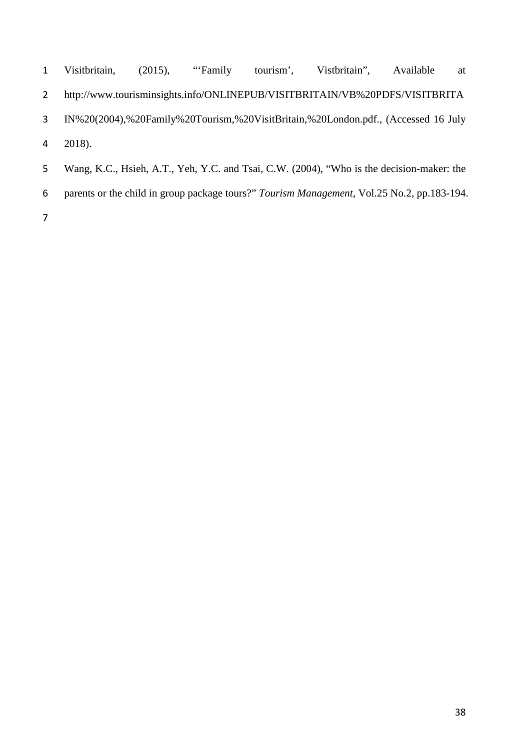| $\mathbf{1}$ | Visitbritain, (2015), "Family |  | tourism', Vistbritain'', Available                                                        | at |
|--------------|-------------------------------|--|-------------------------------------------------------------------------------------------|----|
| 2            |                               |  | http://www.tourisminsights.info/ONLINEPUB/VISITBRITAIN/VB%20PDFS/VISITBRITA               |    |
| 3            |                               |  | IN%20(2004),%20Family%20Tourism,%20VisitBritain,%20London.pdf., (Accessed 16 July         |    |
|              | $4\quad 2018.$                |  |                                                                                           |    |
| 5            |                               |  | Wang, K.C., Hsieh, A.T., Yeh, Y.C. and Tsai, C.W. (2004), "Who is the decision-maker: the |    |

parents or the child in group package tours?" *Tourism Management*, Vol.25 No.2, pp.183-194.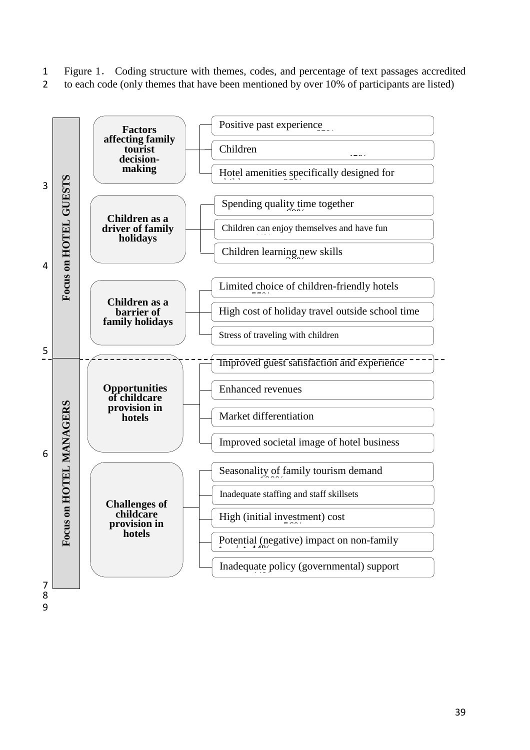- 1 Figure 1. Coding structure with themes, codes, and percentage of text passages accredited<br>2 to each code (only themes that have been mentioned by over 10% of participants are listed)
- 2 to each code (only themes that have been mentioned by over 10% of participants are listed)